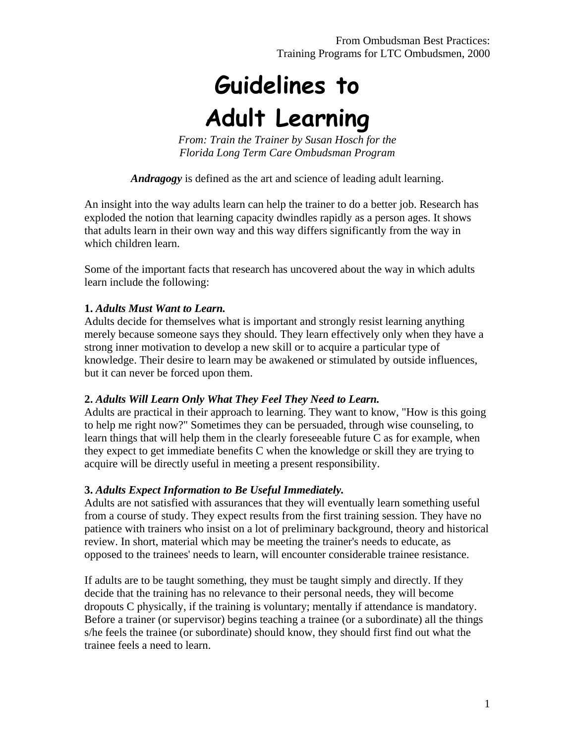# **Guidelines to Adult Learning**

*From: Train the Trainer by Susan Hosch for the Florida Long Term Care Ombudsman Program* 

*Andragogy* is defined as the art and science of leading adult learning.

An insight into the way adults learn can help the trainer to do a better job. Research has exploded the notion that learning capacity dwindles rapidly as a person ages. It shows that adults learn in their own way and this way differs significantly from the way in which children learn.

Some of the important facts that research has uncovered about the way in which adults learn include the following:

#### **1.** *Adults Must Want to Learn.*

Adults decide for themselves what is important and strongly resist learning anything merely because someone says they should. They learn effectively only when they have a strong inner motivation to develop a new skill or to acquire a particular type of knowledge. Their desire to learn may be awakened or stimulated by outside influences, but it can never be forced upon them.

#### **2.** *Adults Will Learn Only What They Feel They Need to Learn.*

Adults are practical in their approach to learning. They want to know, "How is this going to help me right now?" Sometimes they can be persuaded, through wise counseling, to learn things that will help them in the clearly foreseeable future C as for example, when they expect to get immediate benefits C when the knowledge or skill they are trying to acquire will be directly useful in meeting a present responsibility.

#### **3.** *Adults Expect Information to Be Useful Immediately.*

Adults are not satisfied with assurances that they will eventually learn something useful from a course of study. They expect results from the first training session. They have no patience with trainers who insist on a lot of preliminary background, theory and historical review. In short, material which may be meeting the trainer's needs to educate, as opposed to the trainees' needs to learn, will encounter considerable trainee resistance.

If adults are to be taught something, they must be taught simply and directly. If they decide that the training has no relevance to their personal needs, they will become dropouts C physically, if the training is voluntary; mentally if attendance is mandatory. Before a trainer (or supervisor) begins teaching a trainee (or a subordinate) all the things s/he feels the trainee (or subordinate) should know, they should first find out what the trainee feels a need to learn.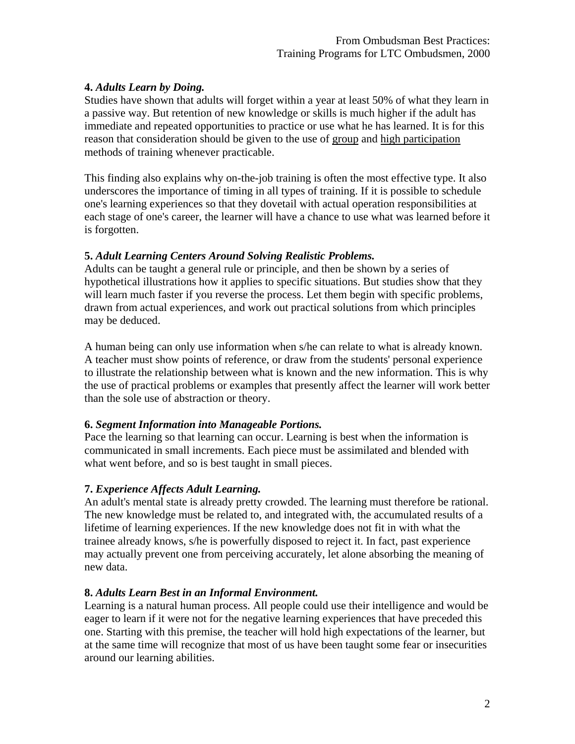### **4.** *Adults Learn by Doing.*

Studies have shown that adults will forget within a year at least 50% of what they learn in a passive way. But retention of new knowledge or skills is much higher if the adult has immediate and repeated opportunities to practice or use what he has learned. It is for this reason that consideration should be given to the use of group and high participation methods of training whenever practicable.

This finding also explains why on-the-job training is often the most effective type. It also underscores the importance of timing in all types of training. If it is possible to schedule one's learning experiences so that they dovetail with actual operation responsibilities at each stage of one's career, the learner will have a chance to use what was learned before it is forgotten.

# **5.** *Adult Learning Centers Around Solving Realistic Problems.*

Adults can be taught a general rule or principle, and then be shown by a series of hypothetical illustrations how it applies to specific situations. But studies show that they will learn much faster if you reverse the process. Let them begin with specific problems, drawn from actual experiences, and work out practical solutions from which principles may be deduced.

A human being can only use information when s/he can relate to what is already known. A teacher must show points of reference, or draw from the students' personal experience to illustrate the relationship between what is known and the new information. This is why the use of practical problems or examples that presently affect the learner will work better than the sole use of abstraction or theory.

# **6.** *Segment Information into Manageable Portions.*

Pace the learning so that learning can occur. Learning is best when the information is communicated in small increments. Each piece must be assimilated and blended with what went before, and so is best taught in small pieces.

# **7.** *Experience Affects Adult Learning.*

An adult's mental state is already pretty crowded. The learning must therefore be rational. The new knowledge must be related to, and integrated with, the accumulated results of a lifetime of learning experiences. If the new knowledge does not fit in with what the trainee already knows, s/he is powerfully disposed to reject it. In fact, past experience may actually prevent one from perceiving accurately, let alone absorbing the meaning of new data.

#### **8.** *Adults Learn Best in an Informal Environment.*

Learning is a natural human process. All people could use their intelligence and would be eager to learn if it were not for the negative learning experiences that have preceded this one. Starting with this premise, the teacher will hold high expectations of the learner, but at the same time will recognize that most of us have been taught some fear or insecurities around our learning abilities.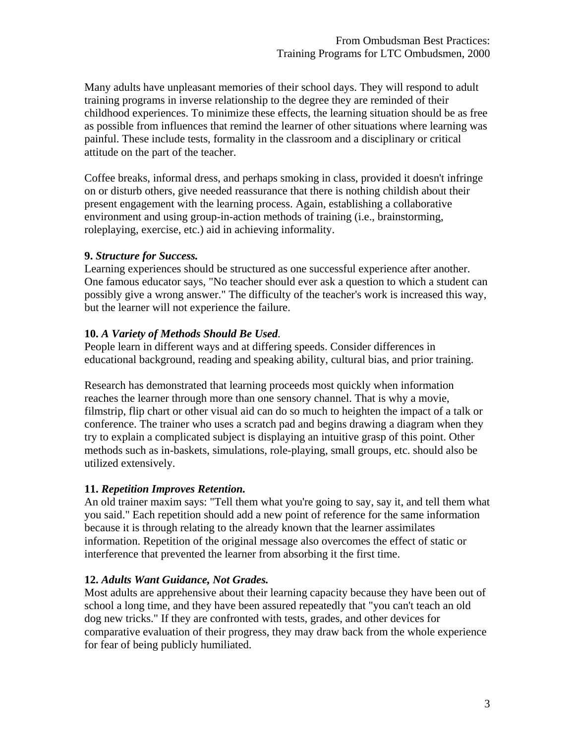Many adults have unpleasant memories of their school days. They will respond to adult training programs in inverse relationship to the degree they are reminded of their childhood experiences. To minimize these effects, the learning situation should be as free as possible from influences that remind the learner of other situations where learning was painful. These include tests, formality in the classroom and a disciplinary or critical attitude on the part of the teacher.

Coffee breaks, informal dress, and perhaps smoking in class, provided it doesn't infringe on or disturb others, give needed reassurance that there is nothing childish about their present engagement with the learning process. Again, establishing a collaborative environment and using group-in-action methods of training (i.e., brainstorming, roleplaying, exercise, etc.) aid in achieving informality.

#### **9.** *Structure for Success.*

Learning experiences should be structured as one successful experience after another. One famous educator says, "No teacher should ever ask a question to which a student can possibly give a wrong answer." The difficulty of the teacher's work is increased this way, but the learner will not experience the failure.

#### **10.** *A Variety of Methods Should Be Used.*

People learn in different ways and at differing speeds. Consider differences in educational background, reading and speaking ability, cultural bias, and prior training.

Research has demonstrated that learning proceeds most quickly when information reaches the learner through more than one sensory channel. That is why a movie, filmstrip, flip chart or other visual aid can do so much to heighten the impact of a talk or conference. The trainer who uses a scratch pad and begins drawing a diagram when they try to explain a complicated subject is displaying an intuitive grasp of this point. Other methods such as in-baskets, simulations, role-playing, small groups, etc. should also be utilized extensively.

# **11.** *Repetition Improves Retention.*

An old trainer maxim says: "Tell them what you're going to say, say it, and tell them what you said." Each repetition should add a new point of reference for the same information because it is through relating to the already known that the learner assimilates information. Repetition of the original message also overcomes the effect of static or interference that prevented the learner from absorbing it the first time.

# **12.** *Adults Want Guidance, Not Grades.*

Most adults are apprehensive about their learning capacity because they have been out of school a long time, and they have been assured repeatedly that "you can't teach an old dog new tricks." If they are confronted with tests, grades, and other devices for comparative evaluation of their progress, they may draw back from the whole experience for fear of being publicly humiliated.